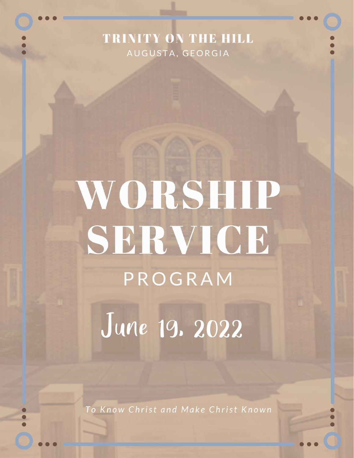## TRINITY ON THE HILL AUGUSTA, GEORGIA

# WORSHIP SERVICE PROGRAM

June 19. 2022

To Know Christ and Make Christ Known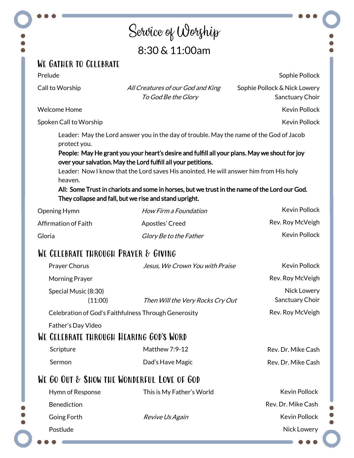## Service of Worship 8:30 & 11:00am

#### We Gather to Celebrate

Prelude

Call to Worship All Creatures of our God and King To God Be the Glory

Sophie Pollock & Nick Lowery Sanctuary Choir

Welcome Home

Spoken Call to Worship

Leader: May the Lord answer you in the day of trouble. May the name of the God of Jacob protect you.

People: May He grant you your heart's desire and fulfill all your plans. May we shout for joy over your salvation. May the Lord fulfill all your petitions.

 Leader: Now I know that the Lord saves His anointed. He will answer him from His holy heaven.

All: Some Trust in chariots and some in horses, but we trust in the name of the Lord our God. They collapse and fall, but we rise and stand upright.

| Opening Hymn         | How Firm a Foundation  | Kevin Pollock    |
|----------------------|------------------------|------------------|
| Affirmation of Faith | Apostles' Creed        | Rev. Roy McVeigh |
| Gloria               | Glory Be to the Father | Kevin Pollock    |

### WE CELEBRATE THROUGH PRAYER & GIVING

|                                            | Prayer Chorus                                        | Jesus, We Crown You with Praise  | Kevin Pollock                  |  |
|--------------------------------------------|------------------------------------------------------|----------------------------------|--------------------------------|--|
|                                            | Morning Prayer                                       |                                  | Rev. Roy McVeigh               |  |
|                                            | Special Music (8:30)<br>(11:00)                      | Then Will the Very Rocks Cry Out | Nick Lowery<br>Sanctuary Choir |  |
|                                            | Celebration of God's Faithfulness Through Generosity |                                  | Rev. Roy McVeigh               |  |
|                                            | Father's Day Video                                   |                                  |                                |  |
| WE CELEBRATE THROUGH HEARING GOD'S WORD    |                                                      |                                  |                                |  |
|                                            | Scripture                                            | Matthew 7:9-12                   | Rev. Dr. Mike Cash             |  |
|                                            | Sermon                                               | Dad's Have Magic                 | Rev. Dr. Mike Cash             |  |
| WE GO OUT & SHOW THE WONDERFUL LOVE OF GOD |                                                      |                                  |                                |  |
|                                            | Hymn of Response                                     | This is My Father's World        | <b>Kevin Pollock</b>           |  |
|                                            | <b>Benediction</b>                                   |                                  | Rev. Dr. Mike Cash             |  |
|                                            | Going Forth                                          | <i>Revive Us Again</i>           | <b>Kevin Pollock</b>           |  |
|                                            | Postlude                                             |                                  | Nick Lowery                    |  |
|                                            |                                                      |                                  |                                |  |
|                                            |                                                      |                                  |                                |  |

Sophie Pollock

Kevin Pollock

Kevin Pollock